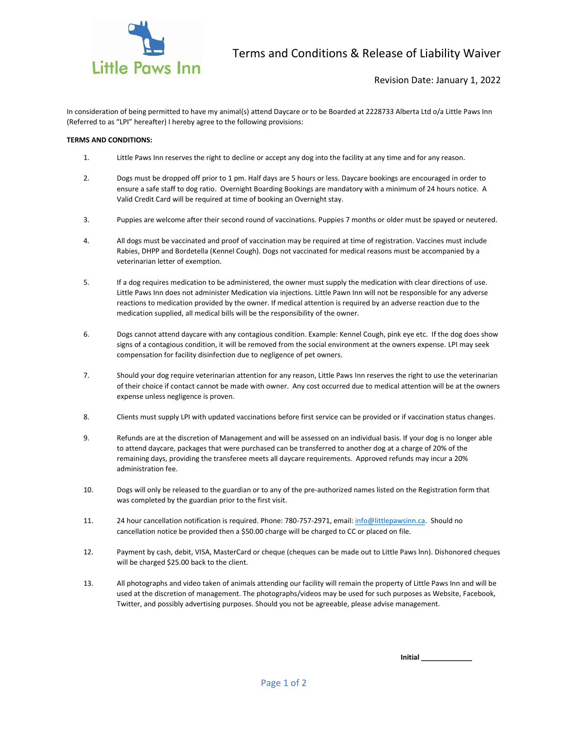

In consideration of being permitted to have my animal(s) attend Daycare or to be Boarded at 2228733 Alberta Ltd o/a Little Paws Inn (Referred to as "LPI" hereafter) I hereby agree to the following provisions:

## **TERMS AND CONDITIONS:**

- 1. Little Paws Inn reserves the right to decline or accept any dog into the facility at any time and for any reason.
- 2. Dogs must be dropped off prior to 1 pm. Half days are 5 hours or less. Daycare bookings are encouraged in order to ensure a safe staff to dog ratio. Overnight Boarding Bookings are mandatory with a minimum of 24 hours notice. A Valid Credit Card will be required at time of booking an Overnight stay.
- 3. Puppies are welcome after their second round of vaccinations. Puppies 7 months or older must be spayed or neutered.
- 4. All dogs must be vaccinated and proof of vaccination may be required at time of registration. Vaccines must include Rabies, DHPP and Bordetella (Kennel Cough). Dogs not vaccinated for medical reasons must be accompanied by a veterinarian letter of exemption.
- 5. If a dog requires medication to be administered, the owner must supply the medication with clear directions of use. Little Paws Inn does not administer Medication via injections. Little Pawn Inn will not be responsible for any adverse reactions to medication provided by the owner. If medical attention is required by an adverse reaction due to the medication supplied, all medical bills will be the responsibility of the owner.
- 6. Dogs cannot attend daycare with any contagious condition. Example: Kennel Cough, pink eye etc. If the dog does show signs of a contagious condition, it will be removed from the social environment at the owners expense. LPI may seek compensation for facility disinfection due to negligence of pet owners.
- 7. Should your dog require veterinarian attention for any reason, Little Paws Inn reserves the right to use the veterinarian of their choice if contact cannot be made with owner. Any cost occurred due to medical attention will be at the owners expense unless negligence is proven.
- 8. Clients must supply LPI with updated vaccinations before first service can be provided or if vaccination status changes.
- 9. Refunds are at the discretion of Management and will be assessed on an individual basis. If your dog is no longer able to attend daycare, packages that were purchased can be transferred to another dog at a charge of 20% of the remaining days, providing the transferee meets all daycare requirements. Approved refunds may incur a 20% administration fee.
- 10. Dogs will only be released to the guardian or to any of the pre-authorized names listed on the Registration form that was completed by the guardian prior to the first visit.
- 11. 24 hour cancellation notification is required. Phone: 780-757-2971, email: [info@littlepawsinn.ca.](mailto:info@littlepawsinn.ca) Should no cancellation notice be provided then a \$50.00 charge will be charged to CC or placed on file.
- 12. Payment by cash, debit, VISA, MasterCard or cheque (cheques can be made out to Little Paws lnn). Dishonored cheques will be charged \$25.00 back to the client.
- 13. All photographs and video taken of animals attending our facility will remain the property of Little Paws Inn and will be used at the discretion of management. The photographs/videos may be used for such purposes as Website, Facebook, Twitter, and possibly advertising purposes. Should you not be agreeable, please advise management.

**Initial \_\_\_\_\_\_\_\_\_\_\_\_\_**